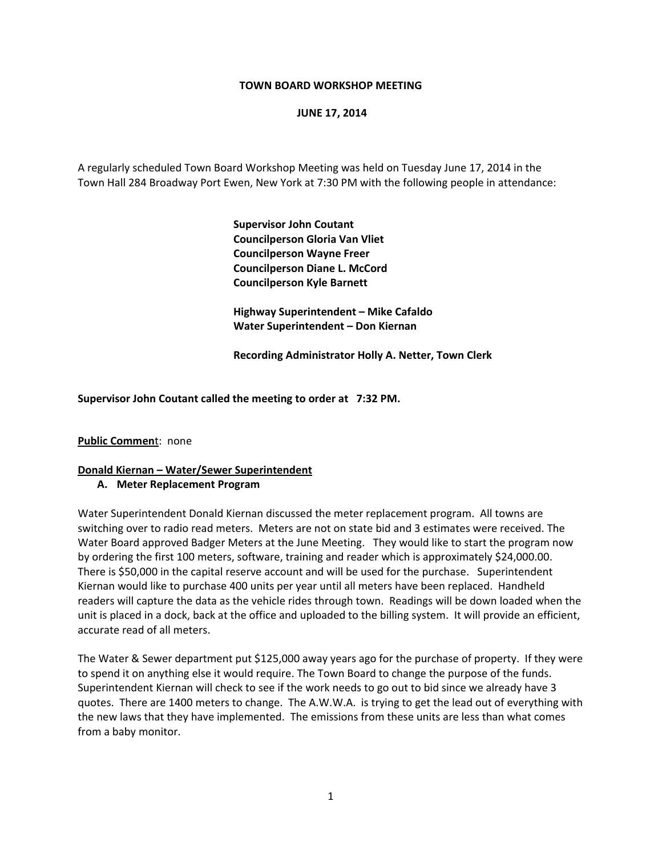#### **TOWN BOARD WORKSHOP MEETING**

#### **JUNE 17, 2014**

A regularly scheduled Town Board Workshop Meeting was held on Tuesday June 17, 2014 in the Town Hall 284 Broadway Port Ewen, New York at 7:30 PM with the following people in attendance:

> **Supervisor John Coutant Councilperson Gloria Van Vliet Councilperson Wayne Freer Councilperson Diane L. McCord Councilperson Kyle Barnett**

 **Highway Superintendent – Mike Cafaldo Water Superintendent – Don Kiernan**

 **Recording Administrator Holly A. Netter, Town Clerk**

**Supervisor John Coutant called the meeting to order at 7:32 PM.**

**Public Commen**t: none

# **Donald Kiernan – Water/Sewer Superintendent**

## **A. Meter Replacement Program**

Water Superintendent Donald Kiernan discussed the meter replacement program. All towns are switching over to radio read meters. Meters are not on state bid and 3 estimates were received. The Water Board approved Badger Meters at the June Meeting. They would like to start the program now by ordering the first 100 meters, software, training and reader which is approximately \$24,000.00. There is \$50,000 in the capital reserve account and will be used for the purchase. Superintendent Kiernan would like to purchase 400 units per year until all meters have been replaced. Handheld readers will capture the data as the vehicle rides through town. Readings will be down loaded when the unit is placed in a dock, back at the office and uploaded to the billing system. It will provide an efficient, accurate read of all meters.

The Water & Sewer department put \$125,000 away years ago for the purchase of property. If they were to spend it on anything else it would require. The Town Board to change the purpose of the funds. Superintendent Kiernan will check to see if the work needs to go out to bid since we already have 3 quotes. There are 1400 meters to change. The A.W.W.A. is trying to get the lead out of everything with the new laws that they have implemented. The emissions from these units are less than what comes from a baby monitor.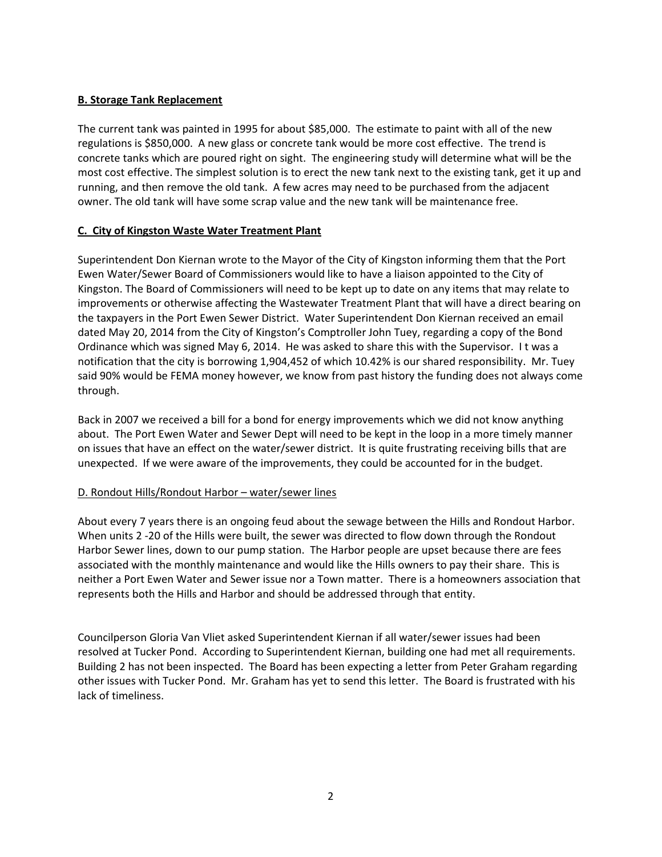## **B. Storage Tank Replacement**

The current tank was painted in 1995 for about \$85,000. The estimate to paint with all of the new regulations is \$850,000. A new glass or concrete tank would be more cost effective. The trend is concrete tanks which are poured right on sight. The engineering study will determine what will be the most cost effective. The simplest solution is to erect the new tank next to the existing tank, get it up and running, and then remove the old tank. A few acres may need to be purchased from the adjacent owner. The old tank will have some scrap value and the new tank will be maintenance free.

## **C. City of Kingston Waste Water Treatment Plant**

Superintendent Don Kiernan wrote to the Mayor of the City of Kingston informing them that the Port Ewen Water/Sewer Board of Commissioners would like to have a liaison appointed to the City of Kingston. The Board of Commissioners will need to be kept up to date on any items that may relate to improvements or otherwise affecting the Wastewater Treatment Plant that will have a direct bearing on the taxpayers in the Port Ewen Sewer District. Water Superintendent Don Kiernan received an email dated May 20, 2014 from the City of Kingston's Comptroller John Tuey, regarding a copy of the Bond Ordinance which was signed May 6, 2014. He was asked to share this with the Supervisor. I t was a notification that the city is borrowing 1,904,452 of which 10.42% is our shared responsibility. Mr. Tuey said 90% would be FEMA money however, we know from past history the funding does not always come through.

Back in 2007 we received a bill for a bond for energy improvements which we did not know anything about. The Port Ewen Water and Sewer Dept will need to be kept in the loop in a more timely manner on issues that have an effect on the water/sewer district. It is quite frustrating receiving bills that are unexpected. If we were aware of the improvements, they could be accounted for in the budget.

## D. Rondout Hills/Rondout Harbor – water/sewer lines

About every 7 years there is an ongoing feud about the sewage between the Hills and Rondout Harbor. When units 2 -20 of the Hills were built, the sewer was directed to flow down through the Rondout Harbor Sewer lines, down to our pump station. The Harbor people are upset because there are fees associated with the monthly maintenance and would like the Hills owners to pay their share. This is neither a Port Ewen Water and Sewer issue nor a Town matter. There is a homeowners association that represents both the Hills and Harbor and should be addressed through that entity.

Councilperson Gloria Van Vliet asked Superintendent Kiernan if all water/sewer issues had been resolved at Tucker Pond. According to Superintendent Kiernan, building one had met all requirements. Building 2 has not been inspected. The Board has been expecting a letter from Peter Graham regarding other issues with Tucker Pond. Mr. Graham has yet to send this letter. The Board is frustrated with his lack of timeliness.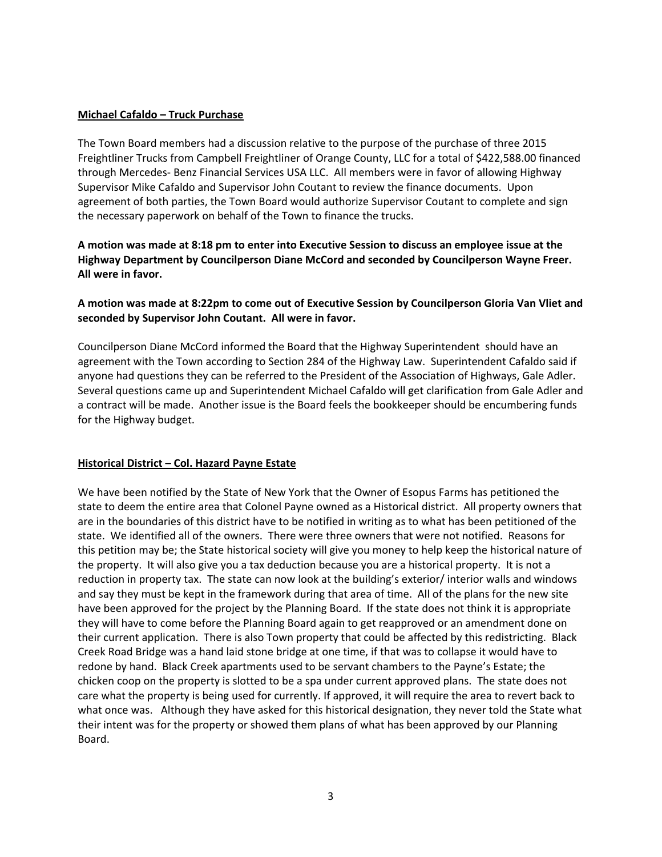#### **Michael Cafaldo – Truck Purchase**

The Town Board members had a discussion relative to the purpose of the purchase of three 2015 Freightliner Trucks from Campbell Freightliner of Orange County, LLC for a total of \$422,588.00 financed through Mercedes‐ Benz Financial Services USA LLC. All members were in favor of allowing Highway Supervisor Mike Cafaldo and Supervisor John Coutant to review the finance documents. Upon agreement of both parties, the Town Board would authorize Supervisor Coutant to complete and sign the necessary paperwork on behalf of the Town to finance the trucks.

A motion was made at 8:18 pm to enter into Executive Session to discuss an employee issue at the **Highway Department by Councilperson Diane McCord and seconded by Councilperson Wayne Freer. All were in favor.** 

**A motion was made at 8:22pm to come out of Executive Session by Councilperson Gloria Van Vliet and seconded by Supervisor John Coutant. All were in favor.** 

Councilperson Diane McCord informed the Board that the Highway Superintendent should have an agreement with the Town according to Section 284 of the Highway Law. Superintendent Cafaldo said if anyone had questions they can be referred to the President of the Association of Highways, Gale Adler. Several questions came up and Superintendent Michael Cafaldo will get clarification from Gale Adler and a contract will be made. Another issue is the Board feels the bookkeeper should be encumbering funds for the Highway budget.

#### **Historical District – Col. Hazard Payne Estate**

We have been notified by the State of New York that the Owner of Esopus Farms has petitioned the state to deem the entire area that Colonel Payne owned as a Historical district. All property owners that are in the boundaries of this district have to be notified in writing as to what has been petitioned of the state. We identified all of the owners. There were three owners that were not notified. Reasons for this petition may be; the State historical society will give you money to help keep the historical nature of the property. It will also give you a tax deduction because you are a historical property. It is not a reduction in property tax. The state can now look at the building's exterior/ interior walls and windows and say they must be kept in the framework during that area of time. All of the plans for the new site have been approved for the project by the Planning Board. If the state does not think it is appropriate they will have to come before the Planning Board again to get reapproved or an amendment done on their current application. There is also Town property that could be affected by this redistricting. Black Creek Road Bridge was a hand laid stone bridge at one time, if that was to collapse it would have to redone by hand. Black Creek apartments used to be servant chambers to the Payne's Estate; the chicken coop on the property is slotted to be a spa under current approved plans. The state does not care what the property is being used for currently. If approved, it will require the area to revert back to what once was. Although they have asked for this historical designation, they never told the State what their intent was for the property or showed them plans of what has been approved by our Planning Board.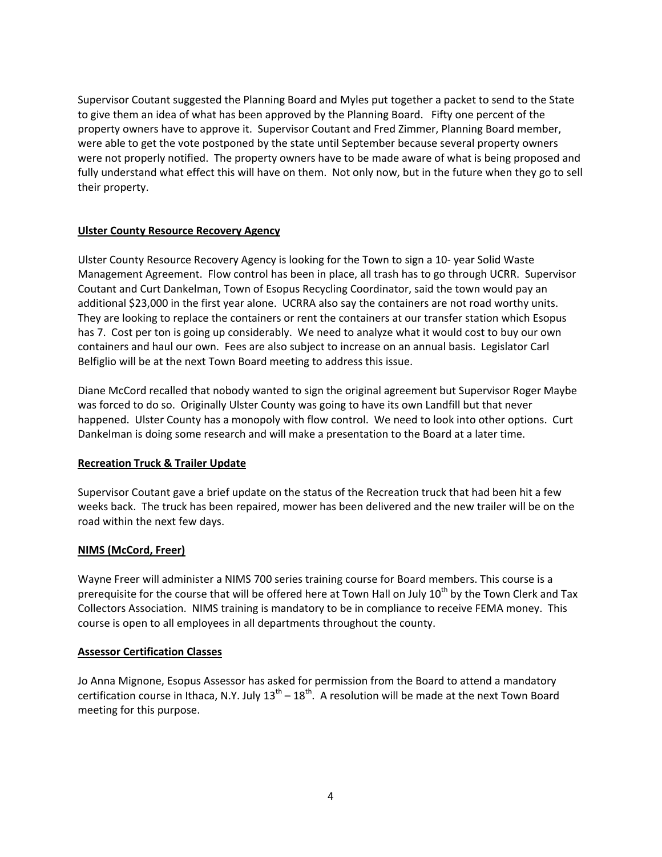Supervisor Coutant suggested the Planning Board and Myles put together a packet to send to the State to give them an idea of what has been approved by the Planning Board. Fifty one percent of the property owners have to approve it. Supervisor Coutant and Fred Zimmer, Planning Board member, were able to get the vote postponed by the state until September because several property owners were not properly notified. The property owners have to be made aware of what is being proposed and fully understand what effect this will have on them. Not only now, but in the future when they go to sell their property.

## **Ulster County Resource Recovery Agency**

Ulster County Resource Recovery Agency is looking for the Town to sign a 10‐ year Solid Waste Management Agreement. Flow control has been in place, all trash has to go through UCRR. Supervisor Coutant and Curt Dankelman, Town of Esopus Recycling Coordinator, said the town would pay an additional \$23,000 in the first year alone. UCRRA also say the containers are not road worthy units. They are looking to replace the containers or rent the containers at our transfer station which Esopus has 7. Cost per ton is going up considerably. We need to analyze what it would cost to buy our own containers and haul our own. Fees are also subject to increase on an annual basis. Legislator Carl Belfiglio will be at the next Town Board meeting to address this issue.

Diane McCord recalled that nobody wanted to sign the original agreement but Supervisor Roger Maybe was forced to do so. Originally Ulster County was going to have its own Landfill but that never happened. Ulster County has a monopoly with flow control. We need to look into other options. Curt Dankelman is doing some research and will make a presentation to the Board at a later time.

## **Recreation Truck & Trailer Update**

Supervisor Coutant gave a brief update on the status of the Recreation truck that had been hit a few weeks back. The truck has been repaired, mower has been delivered and the new trailer will be on the road within the next few days.

# **NIMS (McCord, Freer)**

Wayne Freer will administer a NIMS 700 series training course for Board members. This course is a prerequisite for the course that will be offered here at Town Hall on July 10<sup>th</sup> by the Town Clerk and Tax Collectors Association. NIMS training is mandatory to be in compliance to receive FEMA money. This course is open to all employees in all departments throughout the county.

## **Assessor Certification Classes**

Jo Anna Mignone, Esopus Assessor has asked for permission from the Board to attend a mandatory certification course in Ithaca, N.Y. July  $13^{th} - 18^{th}$ . A resolution will be made at the next Town Board meeting for this purpose.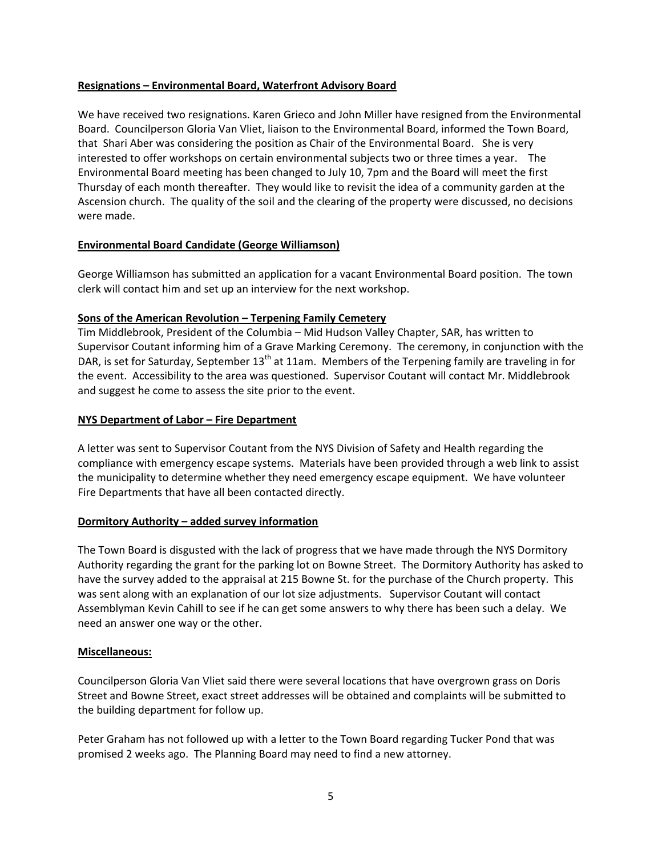## **Resignations – Environmental Board, Waterfront Advisory Board**

We have received two resignations. Karen Grieco and John Miller have resigned from the Environmental Board. Councilperson Gloria Van Vliet, liaison to the Environmental Board, informed the Town Board, that Shari Aber was considering the position as Chair of the Environmental Board. She is very interested to offer workshops on certain environmental subjects two or three times a year. The Environmental Board meeting has been changed to July 10, 7pm and the Board will meet the first Thursday of each month thereafter. They would like to revisit the idea of a community garden at the Ascension church. The quality of the soil and the clearing of the property were discussed, no decisions were made.

## **Environmental Board Candidate (George Williamson)**

George Williamson has submitted an application for a vacant Environmental Board position. The town clerk will contact him and set up an interview for the next workshop.

#### **Sons of the American Revolution – Terpening Family Cemetery**

Tim Middlebrook, President of the Columbia – Mid Hudson Valley Chapter, SAR, has written to Supervisor Coutant informing him of a Grave Marking Ceremony. The ceremony, in conjunction with the DAR, is set for Saturday, September 13<sup>th</sup> at 11am. Members of the Terpening family are traveling in for the event. Accessibility to the area was questioned. Supervisor Coutant will contact Mr. Middlebrook and suggest he come to assess the site prior to the event.

#### **NYS Department of Labor – Fire Department**

A letter was sent to Supervisor Coutant from the NYS Division of Safety and Health regarding the compliance with emergency escape systems. Materials have been provided through a web link to assist the municipality to determine whether they need emergency escape equipment. We have volunteer Fire Departments that have all been contacted directly.

## **Dormitory Authority – added survey information**

The Town Board is disgusted with the lack of progress that we have made through the NYS Dormitory Authority regarding the grant for the parking lot on Bowne Street. The Dormitory Authority has asked to have the survey added to the appraisal at 215 Bowne St. for the purchase of the Church property. This was sent along with an explanation of our lot size adjustments. Supervisor Coutant will contact Assemblyman Kevin Cahill to see if he can get some answers to why there has been such a delay. We need an answer one way or the other.

## **Miscellaneous:**

Councilperson Gloria Van Vliet said there were several locations that have overgrown grass on Doris Street and Bowne Street, exact street addresses will be obtained and complaints will be submitted to the building department for follow up.

Peter Graham has not followed up with a letter to the Town Board regarding Tucker Pond that was promised 2 weeks ago. The Planning Board may need to find a new attorney.